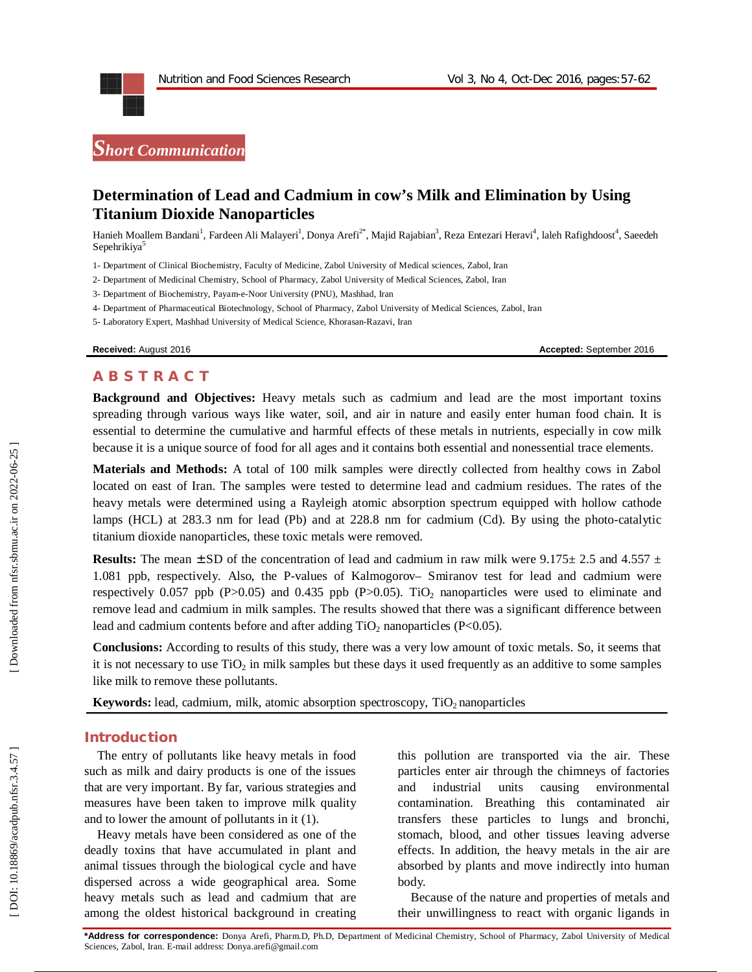

# **Determination of Lead and Cadmium in cow's Milk and Elimination by Using Titanium Dioxide Nanoparticles**

Hanieh Moallem Bandani<sup>1</sup>, Fardeen Ali Malayeri<sup>1</sup>, Donya Arefi<sup>2\*</sup>, Majid Rajabian<sup>3</sup>, Reza Entezari Heravi<sup>4</sup>, laleh Rafighdoost<sup>4</sup>, Saeedeh Sepehrikiya<sup>5</sup>

1 - Department of Clinical Biochemistry, Faculty of Medicine, Zabol University of Medical sciences, Zabol, Iran

2 - Department of Medicinal Chemistry, School of Pharmacy, Zabol University of Medical Sciences, Zabol, Iran

3 - Department of Biochemistry , Payam-e -Noor University (PNU), Mashhad, Iran

4 - Department of Pharmaceutical Biotechnology, School of Pharmacy, Zabol University of Medical Sciences, Zabol, Iran

5 - Laboratory Expert, Mashhad University of Medical Science, Khorasan -Razavi, Iran

**Received:** August 2016 **Accepted: September 2016 Accepted: September 2016** 

#### **A B S T R A C T**

**Background and Objectives:** Heavy metals such as cadmium and lead are the most important toxins spreading through various ways like water, soil, and air in nature and easily enter human food chain. It is essential to determine the cumulative and harmful effects of these metals in nutrients, especially in cow milk because it is a unique source of food for all ages and it contains both essential and nonessential trace elements.

**Materials and Methods:** A total of 100 milk samples were directly collected from healthy cows in Zabol located on east of Iran. The samples were tested to determine lead and cadmium residues. The rates of the heavy metals were determined using a Rayleigh atomic absorption spectrum equipped with hollow cathode lamps (HCL) at 283.3 nm for lead (Pb) and at 228.8 nm for cadmium (Cd). By using the photo-catalytic titanium dioxide nanoparticles, these toxic metals were removed.

**Results:** The mean  $\pm$  SD of the concentration of lead and cadmium in raw milk were 9.175 $\pm$  2.5 and 4.557  $\pm$ 1.081 ppb, respectively. Also, the P -values of Kalmogorov – Smiranov test for lead and cadmium were respectively 0.057 ppb (P>0.05) and 0.435 ppb (P>0.05). TiO<sub>2</sub> nanoparticles were used to eliminate and remove lead and cadmium in milk samples. The results showed that there was a significant difference between lead and cadmium contents before and after adding  $TiO<sub>2</sub>$  nanoparticles (P<0.05).

**Conclusions:** According to results of this study, there was a very low amount of toxic metals. So, it seems that it is not necessary to use  $TiO<sub>2</sub>$  in milk samples but these days it used frequently as an additive to some samples like milk to remove these pollutants.

**Keywords:** lead, cadmium, milk, atomic absorption spectroscopy, TiO<sub>2</sub> nanoparticles

## **Introduction**

The entry of pollutants like heavy metals in food such as milk and dairy products is one of the issues that are very important. By far, various strategies and measures have been taken to improve milk quality and to lower the amount of pollutants in it (1).

Heavy metals have been considered as one of the deadly toxins that have accumulated in plant and animal tissues through the biological cycle and have dispersed across a wide geographical area. Some heavy metals such as lead and cadmium that are among the oldest historical background in creating

this pollution are transported via the air. These particles enter air through the chimneys of factories and industrial units causing environmental contamination. Breathing this contaminated air transfers these particles to lungs and bronchi, stomach, blood, and other tissues leaving adverse effects. In addition, the heavy metals in the air are absorbed by plants and move indirectly into human body.

Because of the nature and properties of metals and their unwillingness to react with organic ligands in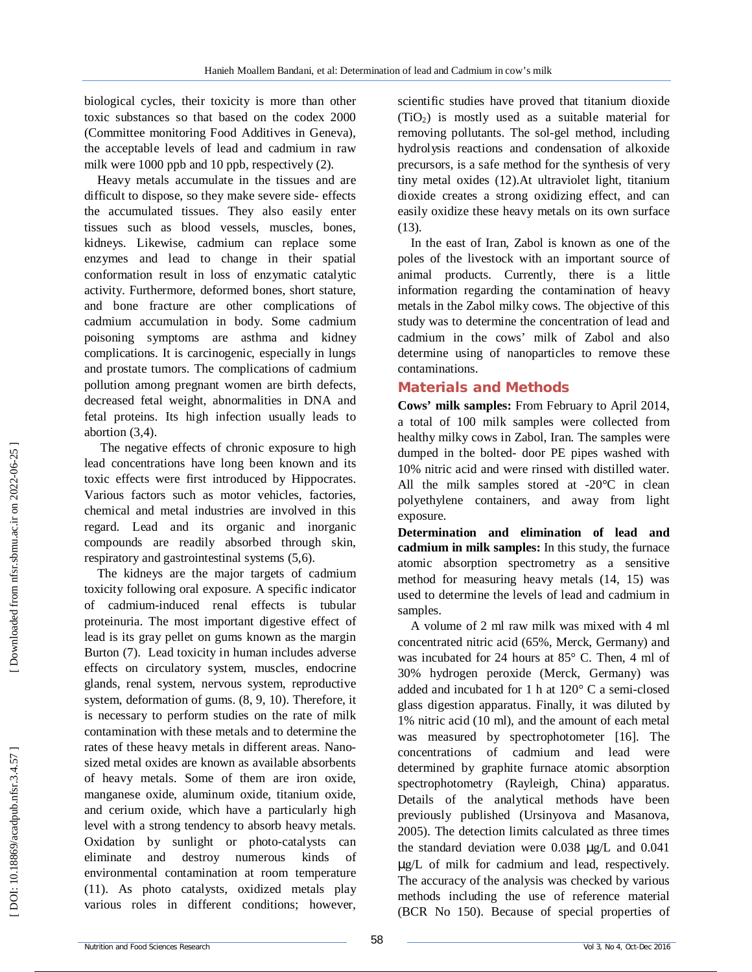biological cycles, their toxicity is more than other toxic substances so that based on the codex 2000 (Committee monitoring Food Additives in Geneva), the acceptable levels of lead and cadmium in raw milk were 1000 ppb and 10 ppb, respectively (2).

Heavy metals accumulate in the tissues and are difficult to dispose, so they make severe side- effects the accumulated tissues. They also easily enter tissues such as blood vessels, muscles, bones, kidneys. Likewise, cadmium can replace some enzymes and lead to change in their spatial conformation result in loss of enzymatic catalytic activity. Furthermore, deformed bones, short stature, and bone fracture are other complications of cadmium accumulation in body. Some cadmium poisoning symptoms are asthma and kidney complications. It is carcinogenic, especially in lungs and prostate tumors. The complications of cadmium pollution among pregnant women are birth defects, decreased fetal weight, abnormalities in DNA and fetal proteins. Its high infection usually leads to abortion (3,4).

The negative effects of chronic exposure to high lead concentrations have long been known and its toxic effects were first introduced by Hippocrates. Various factors such as motor vehicles, factories, chemical and metal industries are involved in this regard. Lead and its organic and inorganic compounds are readily absorbed through skin, respiratory and gastrointestinal systems (5,6).

The kidneys are the major targets of cadmium toxicity following oral exposure. A specific indicator of cadmium -induced renal effects is tubular proteinuria. The most important digestive effect of lead is its gray pellet on gums known as the margin Burton (7). Lead toxicity in human includes adverse effects on circulatory system, muscles, endocrine glands, renal system, nervous system, reproductive system, deformation of gums. (8, 9, 10). Therefore, it is necessary to perform studies on the rate of milk contamination with these metals and to determine the rates of these heavy metals in different areas. Nano sized metal oxides are known as available absorbents of heavy metals. Some of them are iron oxide, manganese oxide, aluminum oxide, titanium oxide, and cerium oxide, which have a particularly high level with a strong tendency to absorb heavy metals . Oxidation by sunlight or photo -catalysts can eliminate and destroy numerous kinds of environmental contamination at room temperature (11). As photo catalysts, oxidized metals play various roles in different conditions; however,

scientific studies have proved that titanium dioxide (TiO <sup>2</sup>) is mostly used as a suitable material for removing pollutants. The sol -gel method, including hydrolysis reactions and condensation of alkoxide precursors, is a safe method for the synthesis of very tiny metal oxides (12).At ultraviolet light, titanium dioxide creates a strong oxidizing effect, and can easily oxidize these heavy metals on its own surface (13).

In the east of Iran, Zabol is known as one of the poles of the livestock with an important source of animal products. Currently, there is a little information regarding the contamination of heavy metals in the Zabol milky cows. The objective of this study was to determine the concentration of lead and cadmium in the cows' milk of Zabol and also determine using of nanoparticles to remove these contaminations.

# **Materials and Methods**

**Cows' milk samples:** From February to April 2014, a total of 100 milk samples were collected from healthy milky cows in Zabol, Iran. The samples were dumped in the bolted - door PE pipes washed with 10% nitric acid and were rinsed with distilled water. All the milk samples stored at -20°C in clean polyethylene containers, and away from light exposure.

**Determination and elimination of lead and cadmium in milk samples:** In this study, the furnace atomic absorption spectrometry as a sensitive method for measuring heavy metals (14, 15) was used to determine the levels of lead and cadmium in samples.

A volume of 2 ml raw milk was mixed with 4 ml concentrated nitric acid (65%, Merck, Germany) and was incubated for 24 hours at 85° C. Then, 4 ml of 30% hydrogen peroxide (Merck, Germany) was added and incubated for 1 h at 120° C a semi -closed glass digestion apparatus. Finally, it was diluted by 1% nitric acid (10 ml), and the amount of each metal was measured by spectrophotometer [16]. The concentrations of cadmium and lead were determined by graphite furnace atomic absorption spectrophotometry (Rayleigh, China) apparatus. Details of the analytical methods have been previously published (Ursinyova and Masanova, 2005). The detection limits calculated as three times the standard deviation were 0.038 µg/L and 0.041 µg/L of milk for cadmium and lead, respectively. The accuracy of the analysis was checked by various methods including the use of reference material (BCR No 150). Because of special properties of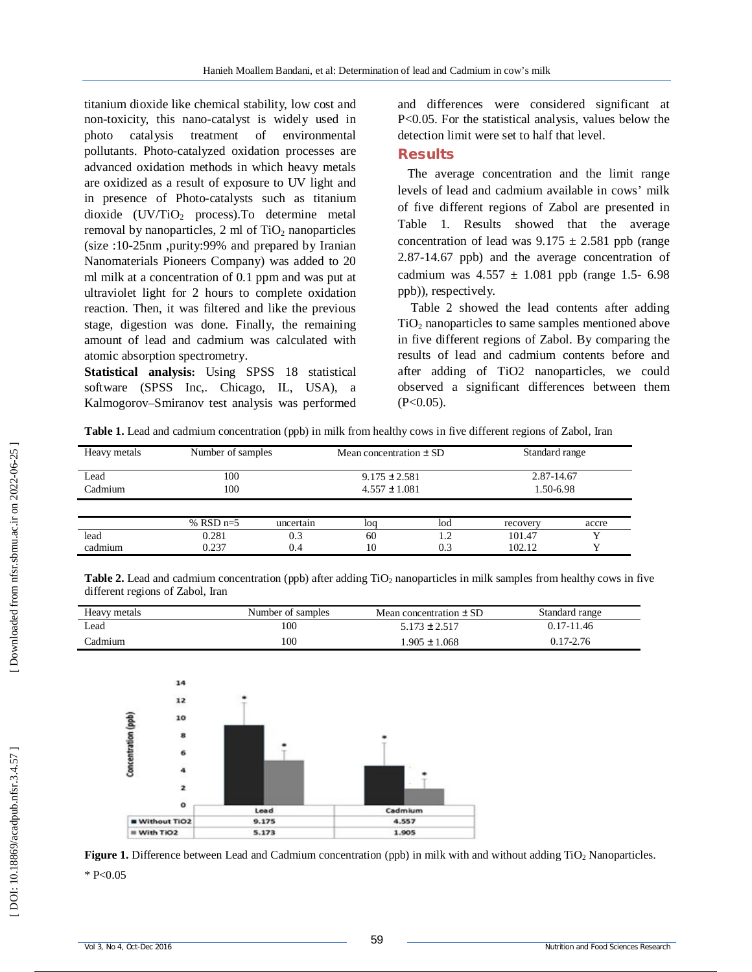titanium dioxide like chemical stability, low cost and non -toxicity, this nano -catalyst is widely used in photo catalysis treatment of environmental pollutants. Photo -catalyzed oxidation processes are advanced oxidation methods in which heavy metals are oxidized as a result of exposure to UV light and in presence of Photo -catalysts such as titanium dioxide (UV/TiO <sup>2</sup> process) .To determine metal removal by nanoparticles, 2 ml of TiO <sup>2</sup> nanoparticles (size :10 -25nm ,purity:99% and prepared by Iranian Nanomaterials Pioneers Company) was added to 20 ml milk at a concentration of 0.1 ppm and was put at ultraviolet light for 2 hours to complete oxidation reaction. Then, it was filtered and like the previous stage, digestion was done. Finally, the remaining amount of lead and cadmium was calculated with atomic absorption spectrometry .

**Statistical analysis:** Using SPSS 18 statistical software (SPSS Inc , . Chicago, IL, USA), a Kalmogorov –Smiranov test analysis was performed and differences were considered significant at P<0.05. For the statistical analysis, values below the detection limit were set to half that level.

## **Results**

The average concentration and the limit range levels of lead and cadmium available in cows' milk of five different regions of Zabol are presented in Table 1. Results showed that the average concentration of lead was  $9.175 \pm 2.581$  ppb (range 2.87 -14.67 ppb) and the average concentration of cadmium was  $4.557 \pm 1.081$  ppb (range 1.5- 6.98) ppb)), respectively.

Table 2 showed the lead contents after adding TiO <sup>2</sup> nanoparticles to same samples mentioned above in five different regions of Zabol. By comparing the results of lead and cadmium contents before and after adding of TiO2 nanoparticles, we could observed a significant differences between them  $(P<0.05)$ .

**Table 1.** Lead and cadmium concentration (ppb) in milk from healthy cows in five different regions of Zabol, Iran

| Heavy metals    | Number of samples |            | Mean concentration $\pm$ SD            |     | Standard range          |       |
|-----------------|-------------------|------------|----------------------------------------|-----|-------------------------|-------|
| Lead<br>Cadmium | 100<br>100        |            | $9.175 \pm 2.581$<br>$4.557 \pm 1.081$ |     | 2.87-14.67<br>1.50-6.98 |       |
|                 | % RSD $n=5$       | uncertain  | loq                                    | lod | recovery                | accre |
| lead<br>cadmium | 0.281<br>0.237    | 0.3<br>0.4 | 60<br>10                               | 0.3 | 101.47<br>102.12        |       |

Table 2. Lead and cadmium concentration (ppb) after adding TiO<sub>2</sub> nanoparticles in milk samples from healthy cows in five different regions of Zabol, Iran

| Heavy metals | Number of samples | Mean concentration $\pm$ SD | Standard range |
|--------------|-------------------|-----------------------------|----------------|
| Lead         | 100               | $5.173 \pm 2.517$           | $0.17 - 11.46$ |
| Cadmium      | 100               | $0.905 \pm 1.068$           | 0.17-2.76      |



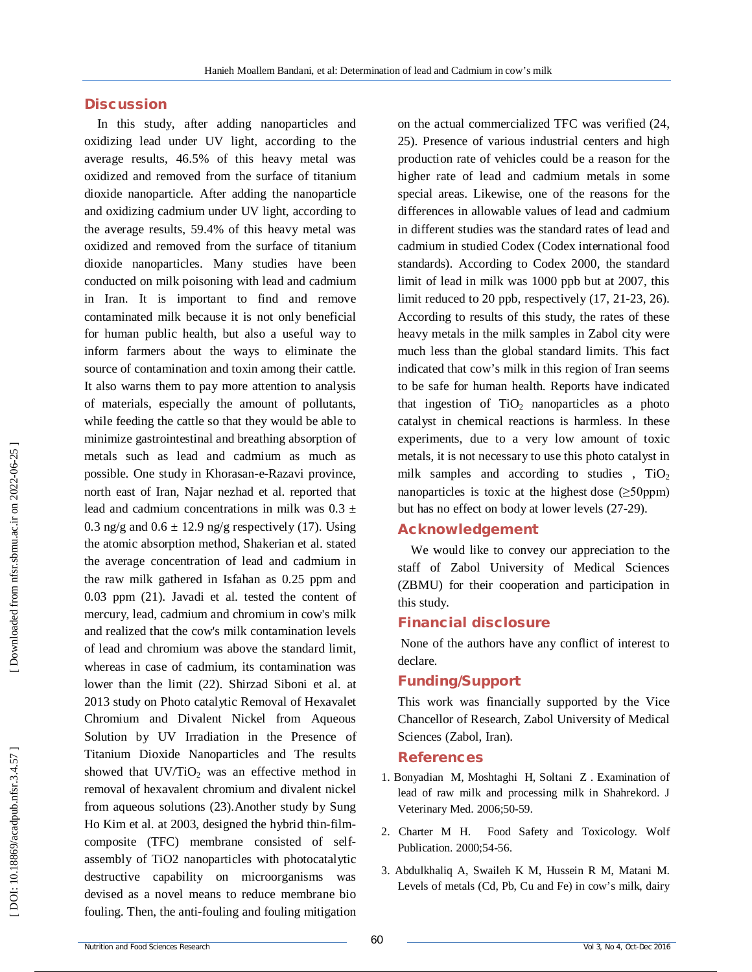### **Discussion**

In this study, after adding nanoparticles and oxidizing lead under UV light, according to the average results, 46.5% of this heavy metal was oxidized and removed from the surface of titanium dioxide nanoparticle. After adding the nanoparticle and oxidizing cadmium under UV light, according to the average results, 59.4% of this heavy metal was oxidized and removed from the surface of titanium dioxide nanoparticles. Many studies have been conducted on milk poisoning with lead and cadmium in Iran. It is important to find and remove contaminated milk because it is not only beneficial for human public health, but also a useful way to inform farmers about the ways to eliminate the source of contamination and toxin among their cattle. It also warns them to pay more attention to analysis of materials, especially the amount of pollutants, while feeding the cattle so that they would be able to minimize gastrointestinal and breathing absorption of metals such as lead and cadmium as much as possible. One study in Khorasan - e -Razavi province, north east of Iran, Najar nezhad et al. reported that lead and cadmium concentrations in milk was  $0.3 \pm$ 0.3 ng/g and  $0.6 \pm 12.9$  ng/g respectively (17). Using the atomic absorption method, Shakerian et al. stated the average concentration of lead and cadmium in the raw milk gathered in Isfahan as 0.25 ppm and 0.03 ppm (21). Javadi et al. tested the content of mercury, lead, cadmium and chromium in cow's milk and realized that the cow's milk contamination levels of lead and chromium was above the standard limit, whereas in case of cadmium, its contamination was lower than the limit (22). Shirzad Siboni et al. at 2013 study on Photo catalytic Removal of Hexavalet Chromium and Divalent Nickel from Aqueous Solution by UV Irradiation in the Presence of Titanium Dioxide Nanoparticles and The results showed that  $UV/TiO<sub>2</sub>$  was an effective method in removal of hexavalent chromium and divalent nickel from aqueous solutions (23).Another study by Sung Ho Kim et al. at 2003, designed the hybrid thin -film composite (TFC) membrane consisted of selfassembly of TiO2 nanoparticles with photocatalytic destructive capability on microorganisms was devised as a novel means to reduce membrane bio fouling. Then, the anti -fouling and fouling mitigation on the actual commercialized TFC was verified (24, 25). Presence of various industrial centers and high production rate of vehicles could be a reason for the higher rate of lead and cadmium metals in some special areas. Likewise, one of the reasons for the differences in allowable values of lead and cadmium in different studies was the standard rates of lead and cadmium in studied Codex (Codex international food standards). According to Codex 2000, the standard limit of lead in milk was 1000 ppb but at 2007, this limit reduced to 20 ppb, respectively (17, 21 -23, 26). According to results of this study, the rates of these heavy metals in the milk samples in Zabol city were much less than the global standard limits. This fact indicated that cow's milk in this region of Iran seems to be safe for human health. Reports have indicated that ingestion of TiO <sup>2</sup> nanoparticles as a photo catalyst in chemical reactions is harmless. In these experiments, due to a very low amount of toxic metals, it is not necessary to use this photo catalyst in milk samples and according to studies,  $TiO<sub>2</sub>$ nanoparticles is toxic at the highest dose  $(\geq 50$ ppm) but has no effect on body at lower levels (27 -29).

# **Acknowledgement**

We would like to convey our appreciation to the staff of Zabol University of Medical Sciences (ZBMU) for their cooperation and participation in this study.

## **Financial disclosure**

None of the authors have any conflict of interest to declare.

#### **Funding/Support**

This work was financially supported by the Vice Chancellor of Research, Zabol University of Medical Sciences (Zabol, Iran).

#### **References**

- 1. Bonyadian M, Moshtaghi H, Soltani Z . Examination of lead of raw milk and processing milk in Shahrekord. J Veterinary Med. 2006;50 -59.
- 2. Charter M H. Food Safety and Toxicology. Wolf Publication. 2000;54 -56.
- 3. Abdulkhaliq A, Swaileh K M, Hussein R M, Matani M. Levels of metals (Cd, Pb, Cu and Fe) in cow's milk, dairy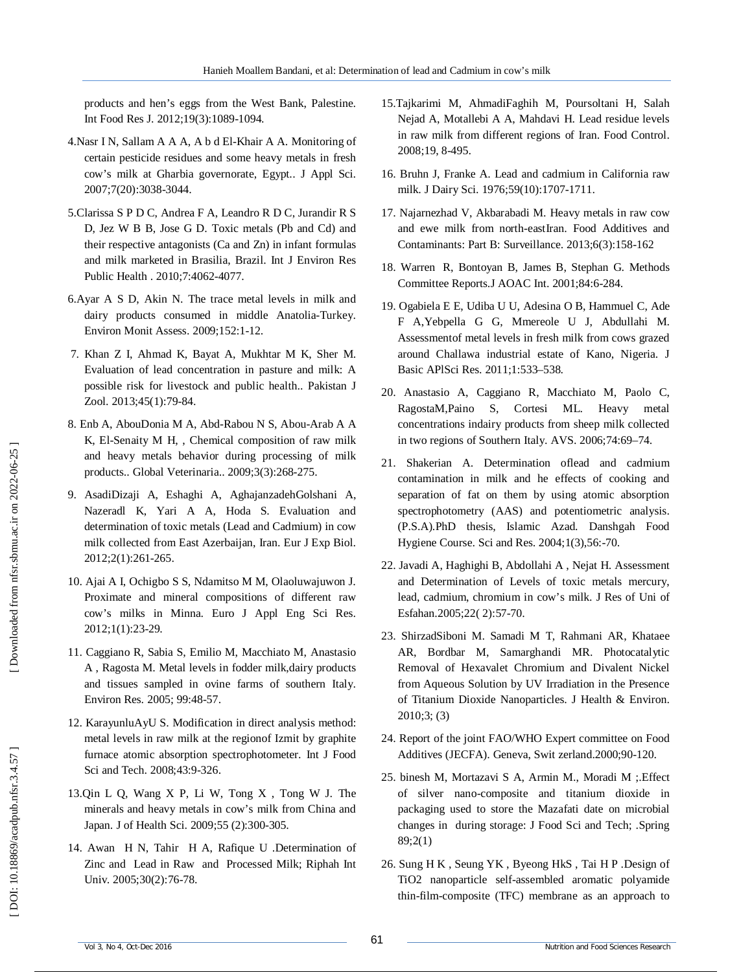products and hen's eggs from the West Bank, Palestine. Int Food Res J. 2012;19(3):1089 -1094.

- 4.Nasr I N, Sallam A A A, A b d El -Khair A A. Monitoring of certain pesticide residues and some heavy metals in fresh cow's milk at Gharbia governorate, Egypt.. J Appl Sci. 2007;7(20):3038 -3044.
- 5.Clarissa S P D C, Andrea F A, Leandro R D C, Jurandir R S D, Jez W B B, Jose G D. Toxic metals (Pb and Cd) and their respective antagonists (Ca and Zn) in infant formulas and milk marketed in Brasilia, Brazil. Int J Environ Res Public Health . 2010;7:4062 -4077.
- 6.Ayar A S D, Akin N. The trace metal levels in milk and dairy products consumed in middle Anatolia -Turkey. Environ Monit Assess. 2009;152:1 -12.
- 7. Khan Z I, Ahmad K, Bayat A, Mukhtar M K, Sher M. Evaluation of lead concentration in pasture and milk: A possible risk for livestock and public health.. Pakistan J Zool. 2013;45(1):79 -84.
- 8. Enb A, AbouDonia M A, Abd -Rabou N S, Abou -Arab A A K, El -Senaity M H, , Chemical composition of raw milk and heavy metals behavior during processing of milk products.. Global Veterinaria.. 2009;3(3):268 -275.
- 9. AsadiDizaji A, Eshaghi A, AghajanzadehGolshani A, Nazeradl K, Yari A A, Hoda S. Evaluation and determination of toxic metals (Lead and Cadmium) in cow milk collected from East Azerbaijan, Iran. Eur J Exp Biol. 2012;2(1):261 -265.
- 10. Ajai A I, Ochigbo S S, Ndamitso M M, Olaoluwajuwon J. Proximate and mineral compositions of different raw cow's milks in Minna. Euro J Appl Eng Sci Res. 2012;1(1):23 -29.
- 11. Caggiano R, Sabia S, Emilio M, Macchiato M, Anastasio A , Ragosta M. Metal levels in fodder milk,dairy products and tissues sampled in ovine farms of southern Italy. Environ Res. 2005; 99:48 -57.
- 12. KarayunluAyU S. Modification in direct analysis method: metal levels in raw milk at the regionof Izmit by graphite furnace atomic absorption spectrophotometer. Int J Food Sci and Tech . 2008;43:9 -326.
- 13.Qin L Q, Wang X P, Li W, Tong X , Tong W J. The minerals and heavy metals in cow's milk from China and Japan. J of Health Sci. 2009;55 (2):300 -305.
- 14. Awan H N, Tahir H A, Rafique U .Determination of Zinc and Lead in Raw and Processed Milk; Riphah Int Univ. 2005;30(2):76-78.
- 15.Tajkarimi M, AhmadiFaghih M, Poursoltani H, Salah Nejad A, Motallebi A A, Mahdavi H. Lead residue levels in raw milk from different regions of Iran. Food Control. 2008;19, 8 -495.
- 16. Bruhn J, Franke A. Lead and cadmium in California raw milk. J Dairy Sci. 1976;59(10):1707 -1711.
- 17. Najarnezhad V, Akbarabadi M. Heavy metals in raw cow and ewe milk from north -eastIran. Food Additives and Contaminants: Part B: Surveillance. 2013;6(3):158 -162
- 18. Warren R, Bontoyan B, James B, Stephan G. Methods Committee Reports.J AOAC Int. 2001;84:6 -284.
- 19. Ogabiela E E, Udiba U U, Adesina O B, Hammuel C, Ade F A,Yebpella G G, Mmereole U J, Abdullahi M. Assessmentof metal levels in fresh milk from cows grazed around Challawa industrial estate of Kano, Nigeria. J Basic APlSci Res. 2011;1:533 –538.
- 20. Anastasio A, Caggiano R, Macchiato M, Paolo C, RagostaM,Paino S, Cortesi ML. Heavy metal concentrations indairy products from sheep milk collected in two regions of Southern Italy. AVS. 2006;74:69 –74.
- 21. Shakerian A. Determination oflead and cadmium contamination in milk and he effects of cooking and separation of fat on them by using atomic absorption spectrophotometry (AAS) and potentiometric analysis. (P.S.A).PhD thesis, Islamic Azad. Danshgah Food Hygiene Course. Sci and Res. 2004;1(3),56: -70.
- 22. Javadi A, Haghighi B, Abdollahi A , Nejat H. Assessment and Determination of Levels of toxic metals mercury, lead, cadmium, chromium in cow's milk. J Res of Uni of Esfahan.2005;22( 2):57 -70.
- 23. ShirzadSiboni M. Samadi M T, Rahmani AR, Khataee AR, Bordbar M, Samarghandi MR. Photocatalytic Removal of Hexavalet Chromium and Divalent Nickel from Aqueous Solution by UV Irradiation in the Presence of Titanium Dioxide Nanoparticles. J Health & Environ. 2010;3; (3)
- 24. Report of the joint FAO/WHO Expert committee on Food Additives (JECFA). Geneva, Swit zerland.2000;90 -120.
- 25. binesh M, Mortazavi S A, Armin M., Moradi M ;.Effect of silver nano -composite and titanium dioxide in packaging used to store the Mazafati date on microbial changes in during storage: J Food Sci and Tech; .Spring 89;2(1)
- 26. Sung H K , Seung YK , Byeong HkS , Tai H P .Design of TiO2 nanoparticle self-assembled aromatic polyamide thin -film -composite (TFC) membrane as an approach to